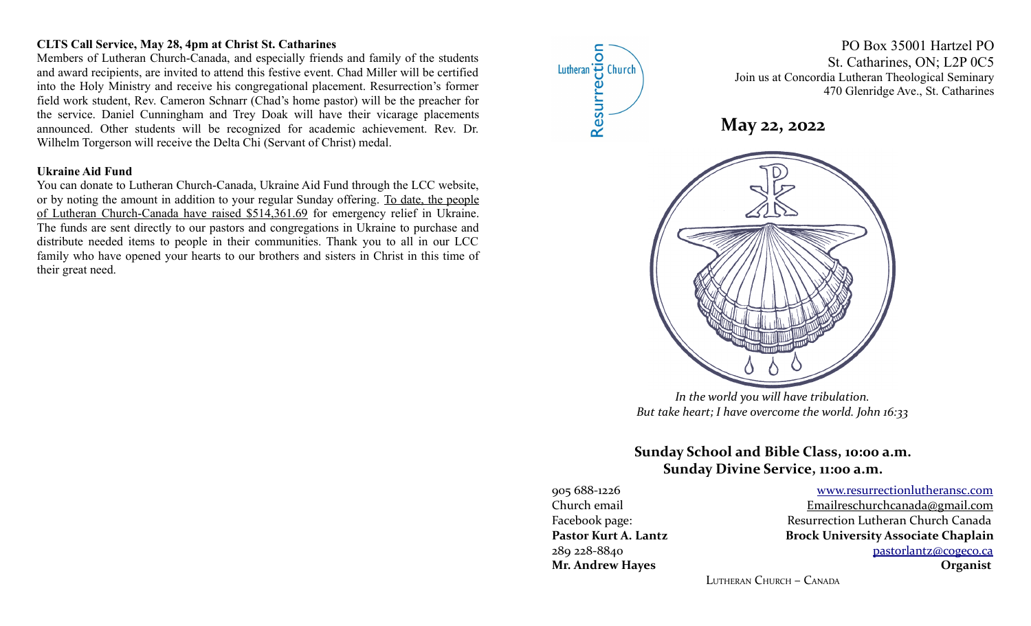## **CLTS Call Service, May 28, 4pm at Christ St. Catharines**

Members of Lutheran Church-Canada, and especially friends and family of the students and award recipients, are invited to attend this festive event. Chad Miller will be certified into the Holy Ministry and receive his congregational placement. Resurrection's former field work student, Rev. Cameron Schnarr (Chad's home pastor) will be the preacher for the service. Daniel Cunningham and Trey Doak will have their vicarage placements announced. Other students will be recognized for academic achievement. Rev. Dr. Wilhelm Torgerson will receive the Delta Chi (Servant of Christ) medal.

#### **Ukraine Aid Fund**

You can donate to Lutheran Church-Canada, Ukraine Aid Fund through the LCC website, or by noting the amount in addition to your regular Sunday offering. To date, the people of Lutheran Church-Canada have raised \$514,361.69 for emergency relief in Ukraine. The funds are sent directly to our pastors and congregations in Ukraine to purchase and distribute needed items to people in their communities. Thank you to all in our LCC family who have opened your hearts to our brothers and sisters in Christ in this time of their great need.



# **Sunday School and Bible Class, 10:00 a.m.**

**Sunday Divine Service, 11:00 a.m.**

905 688-1226 [www.resurrectionl utherans c.c om](http://www.resurrectionlc.ca/)

Church email Emailreschur chcanada@gmail.com Facebook page: Resurrection Lutheran Church Canada Pastor Kurt A. Lantz **Brock University Associate Chaplain** 289 228-8840 [pastorlantz@cogeco.ca](mailto:pastorlantz@cogeco.ca) **Mr. Andrew Hayes Organist**

LUTHERAN CHURCH – CANADA